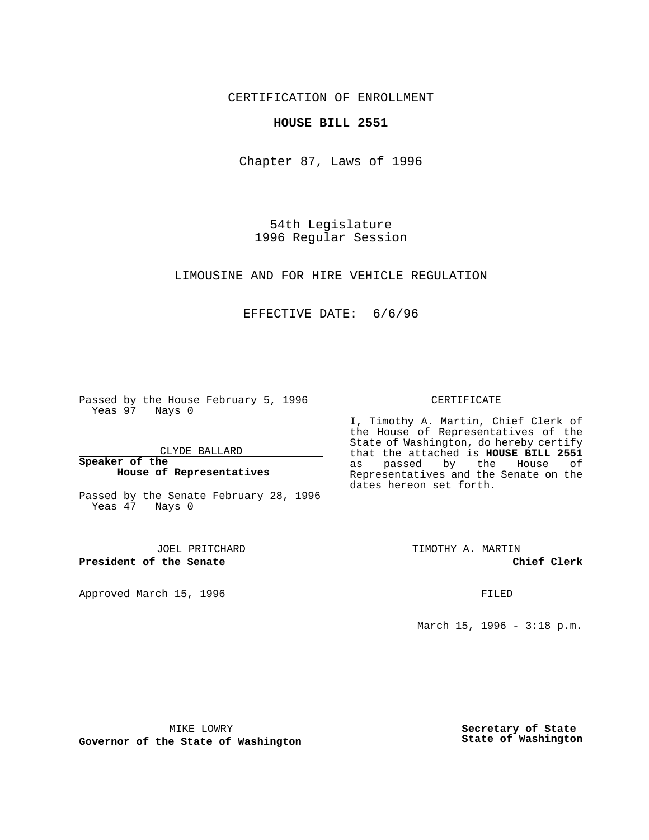CERTIFICATION OF ENROLLMENT

## **HOUSE BILL 2551**

Chapter 87, Laws of 1996

54th Legislature 1996 Regular Session

LIMOUSINE AND FOR HIRE VEHICLE REGULATION

# EFFECTIVE DATE: 6/6/96

Passed by the House February 5, 1996 Yeas 97 Nays 0

CLYDE BALLARD

**Speaker of the House of Representatives**

Passed by the Senate February 28, 1996 Yeas 47 Nays 0

JOEL PRITCHARD

**President of the Senate**

Approved March 15, 1996 **FILED** 

#### CERTIFICATE

I, Timothy A. Martin, Chief Clerk of the House of Representatives of the State of Washington, do hereby certify that the attached is **HOUSE BILL 2551** as passed by the House of Representatives and the Senate on the dates hereon set forth.

TIMOTHY A. MARTIN

**Chief Clerk**

March 15, 1996 - 3:18 p.m.

MIKE LOWRY

**Governor of the State of Washington**

**Secretary of State State of Washington**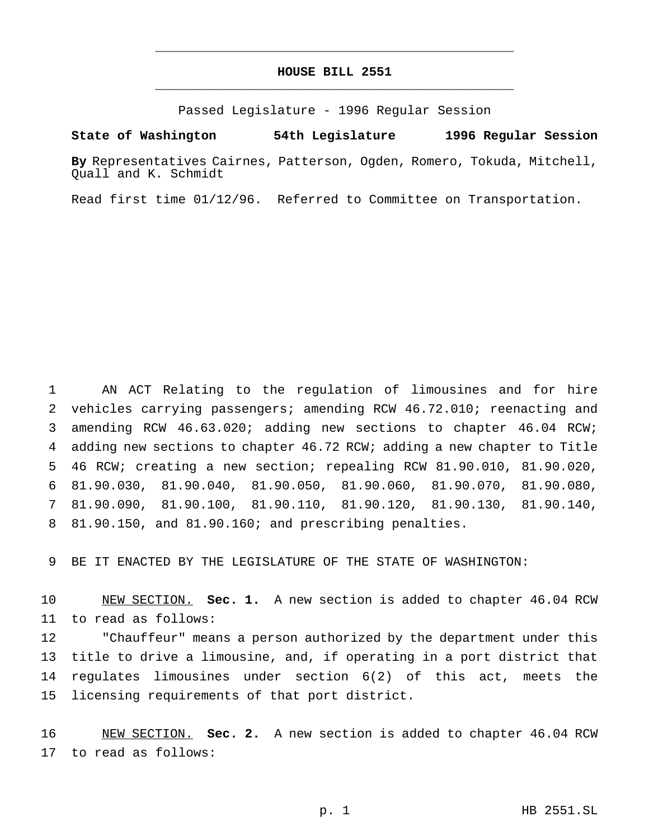# **HOUSE BILL 2551** \_\_\_\_\_\_\_\_\_\_\_\_\_\_\_\_\_\_\_\_\_\_\_\_\_\_\_\_\_\_\_\_\_\_\_\_\_\_\_\_\_\_\_\_\_\_\_

\_\_\_\_\_\_\_\_\_\_\_\_\_\_\_\_\_\_\_\_\_\_\_\_\_\_\_\_\_\_\_\_\_\_\_\_\_\_\_\_\_\_\_\_\_\_\_

Passed Legislature - 1996 Regular Session

### **State of Washington 54th Legislature 1996 Regular Session**

**By** Representatives Cairnes, Patterson, Ogden, Romero, Tokuda, Mitchell, Quall and K. Schmidt

Read first time 01/12/96. Referred to Committee on Transportation.

 AN ACT Relating to the regulation of limousines and for hire vehicles carrying passengers; amending RCW 46.72.010; reenacting and amending RCW 46.63.020; adding new sections to chapter 46.04 RCW; adding new sections to chapter 46.72 RCW; adding a new chapter to Title 46 RCW; creating a new section; repealing RCW 81.90.010, 81.90.020, 81.90.030, 81.90.040, 81.90.050, 81.90.060, 81.90.070, 81.90.080, 81.90.090, 81.90.100, 81.90.110, 81.90.120, 81.90.130, 81.90.140, 81.90.150, and 81.90.160; and prescribing penalties.

BE IT ENACTED BY THE LEGISLATURE OF THE STATE OF WASHINGTON:

 NEW SECTION. **Sec. 1.** A new section is added to chapter 46.04 RCW to read as follows:

 "Chauffeur" means a person authorized by the department under this title to drive a limousine, and, if operating in a port district that regulates limousines under section 6(2) of this act, meets the licensing requirements of that port district.

 NEW SECTION. **Sec. 2.** A new section is added to chapter 46.04 RCW to read as follows: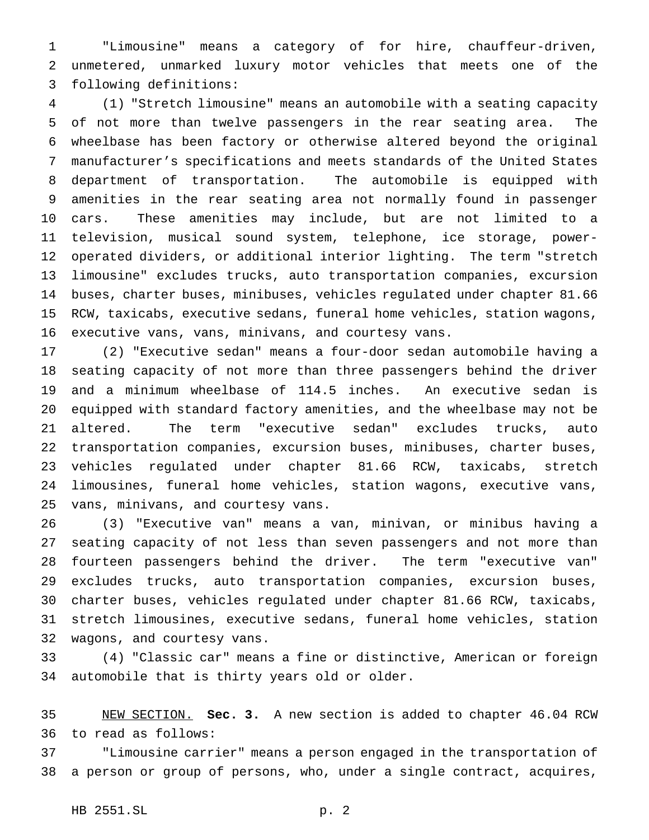"Limousine" means a category of for hire, chauffeur-driven, unmetered, unmarked luxury motor vehicles that meets one of the following definitions:

 (1) "Stretch limousine" means an automobile with a seating capacity of not more than twelve passengers in the rear seating area. The wheelbase has been factory or otherwise altered beyond the original manufacturer's specifications and meets standards of the United States department of transportation. The automobile is equipped with amenities in the rear seating area not normally found in passenger cars. These amenities may include, but are not limited to a television, musical sound system, telephone, ice storage, power- operated dividers, or additional interior lighting. The term "stretch limousine" excludes trucks, auto transportation companies, excursion buses, charter buses, minibuses, vehicles regulated under chapter 81.66 RCW, taxicabs, executive sedans, funeral home vehicles, station wagons, executive vans, vans, minivans, and courtesy vans.

 (2) "Executive sedan" means a four-door sedan automobile having a seating capacity of not more than three passengers behind the driver and a minimum wheelbase of 114.5 inches. An executive sedan is equipped with standard factory amenities, and the wheelbase may not be altered. The term "executive sedan" excludes trucks, auto transportation companies, excursion buses, minibuses, charter buses, vehicles regulated under chapter 81.66 RCW, taxicabs, stretch limousines, funeral home vehicles, station wagons, executive vans, vans, minivans, and courtesy vans.

 (3) "Executive van" means a van, minivan, or minibus having a seating capacity of not less than seven passengers and not more than fourteen passengers behind the driver. The term "executive van" excludes trucks, auto transportation companies, excursion buses, charter buses, vehicles regulated under chapter 81.66 RCW, taxicabs, stretch limousines, executive sedans, funeral home vehicles, station wagons, and courtesy vans.

 (4) "Classic car" means a fine or distinctive, American or foreign automobile that is thirty years old or older.

 NEW SECTION. **Sec. 3.** A new section is added to chapter 46.04 RCW to read as follows:

 "Limousine carrier" means a person engaged in the transportation of a person or group of persons, who, under a single contract, acquires,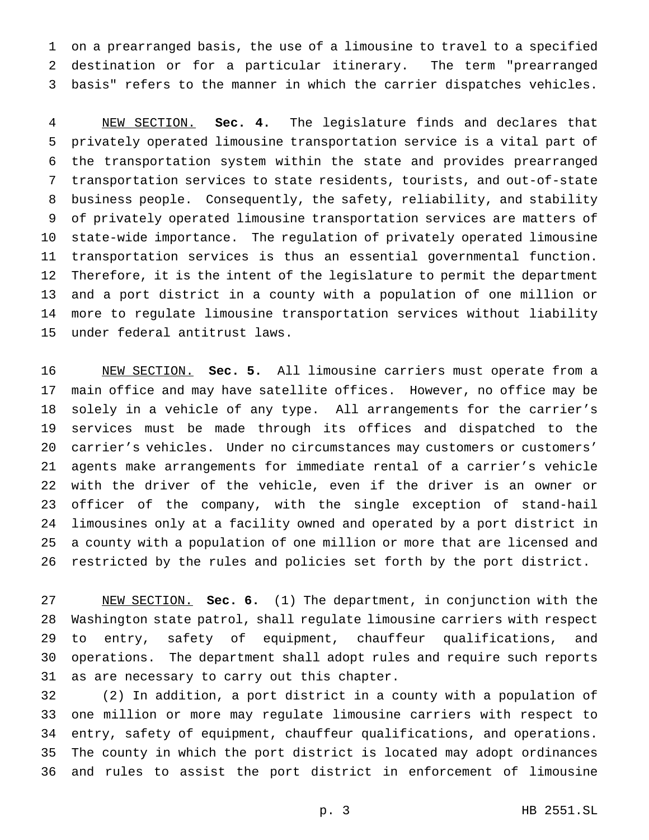on a prearranged basis, the use of a limousine to travel to a specified destination or for a particular itinerary. The term "prearranged basis" refers to the manner in which the carrier dispatches vehicles.

 NEW SECTION. **Sec. 4.** The legislature finds and declares that privately operated limousine transportation service is a vital part of the transportation system within the state and provides prearranged transportation services to state residents, tourists, and out-of-state business people. Consequently, the safety, reliability, and stability of privately operated limousine transportation services are matters of state-wide importance. The regulation of privately operated limousine transportation services is thus an essential governmental function. Therefore, it is the intent of the legislature to permit the department and a port district in a county with a population of one million or more to regulate limousine transportation services without liability under federal antitrust laws.

 NEW SECTION. **Sec. 5.** All limousine carriers must operate from a main office and may have satellite offices. However, no office may be solely in a vehicle of any type. All arrangements for the carrier's services must be made through its offices and dispatched to the 20 carrier's vehicles. Under no circumstances may customers or customers' agents make arrangements for immediate rental of a carrier's vehicle with the driver of the vehicle, even if the driver is an owner or officer of the company, with the single exception of stand-hail limousines only at a facility owned and operated by a port district in a county with a population of one million or more that are licensed and restricted by the rules and policies set forth by the port district.

 NEW SECTION. **Sec. 6.** (1) The department, in conjunction with the Washington state patrol, shall regulate limousine carriers with respect to entry, safety of equipment, chauffeur qualifications, and operations. The department shall adopt rules and require such reports as are necessary to carry out this chapter.

 (2) In addition, a port district in a county with a population of one million or more may regulate limousine carriers with respect to entry, safety of equipment, chauffeur qualifications, and operations. The county in which the port district is located may adopt ordinances and rules to assist the port district in enforcement of limousine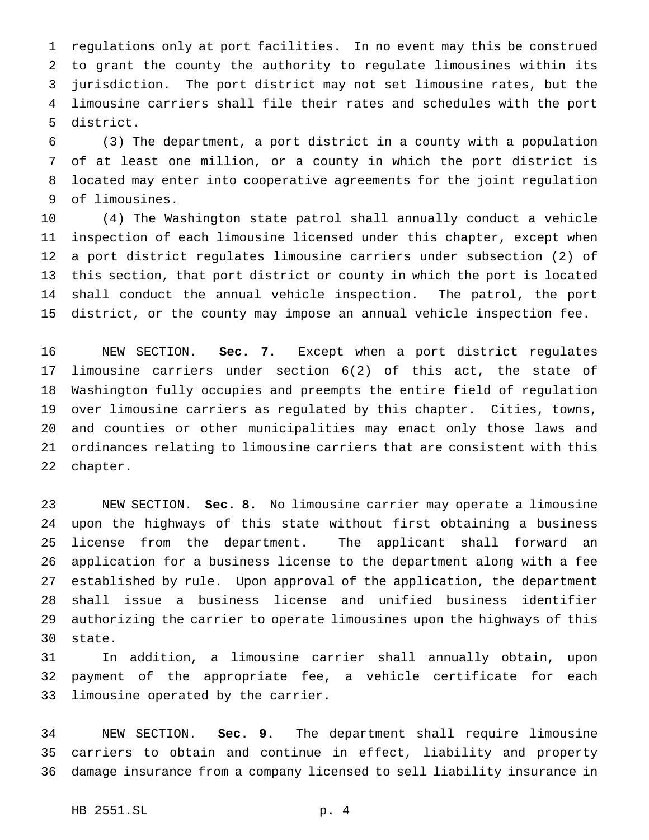regulations only at port facilities. In no event may this be construed to grant the county the authority to regulate limousines within its jurisdiction. The port district may not set limousine rates, but the limousine carriers shall file their rates and schedules with the port district.

 (3) The department, a port district in a county with a population of at least one million, or a county in which the port district is located may enter into cooperative agreements for the joint regulation of limousines.

 (4) The Washington state patrol shall annually conduct a vehicle inspection of each limousine licensed under this chapter, except when a port district regulates limousine carriers under subsection (2) of this section, that port district or county in which the port is located shall conduct the annual vehicle inspection. The patrol, the port district, or the county may impose an annual vehicle inspection fee.

 NEW SECTION. **Sec. 7.** Except when a port district regulates limousine carriers under section 6(2) of this act, the state of Washington fully occupies and preempts the entire field of regulation over limousine carriers as regulated by this chapter. Cities, towns, and counties or other municipalities may enact only those laws and ordinances relating to limousine carriers that are consistent with this chapter.

 NEW SECTION. **Sec. 8.** No limousine carrier may operate a limousine upon the highways of this state without first obtaining a business license from the department. The applicant shall forward an application for a business license to the department along with a fee established by rule. Upon approval of the application, the department shall issue a business license and unified business identifier authorizing the carrier to operate limousines upon the highways of this state.

 In addition, a limousine carrier shall annually obtain, upon payment of the appropriate fee, a vehicle certificate for each limousine operated by the carrier.

 NEW SECTION. **Sec. 9.** The department shall require limousine carriers to obtain and continue in effect, liability and property damage insurance from a company licensed to sell liability insurance in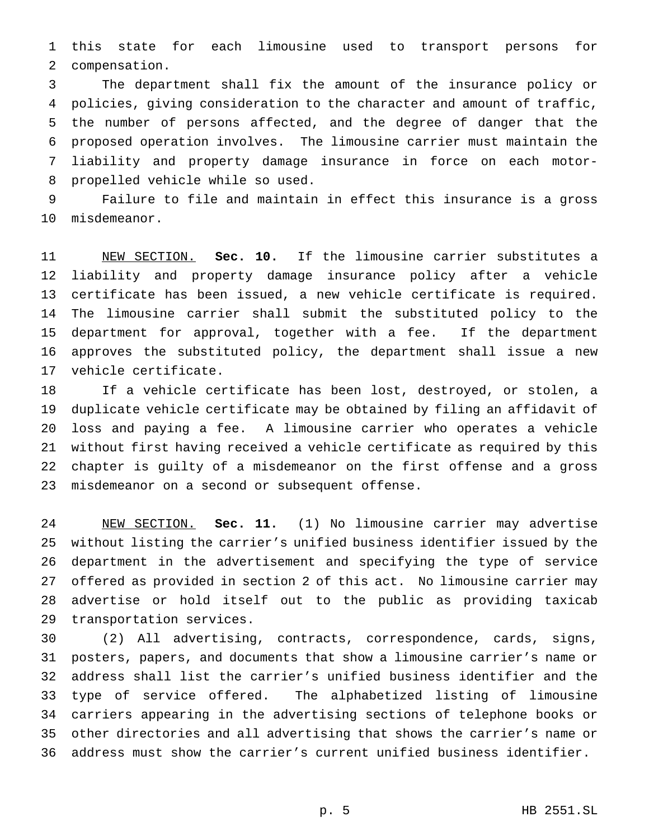this state for each limousine used to transport persons for compensation.

 The department shall fix the amount of the insurance policy or policies, giving consideration to the character and amount of traffic, the number of persons affected, and the degree of danger that the proposed operation involves. The limousine carrier must maintain the liability and property damage insurance in force on each motor-propelled vehicle while so used.

 Failure to file and maintain in effect this insurance is a gross misdemeanor.

 NEW SECTION. **Sec. 10.** If the limousine carrier substitutes a liability and property damage insurance policy after a vehicle certificate has been issued, a new vehicle certificate is required. The limousine carrier shall submit the substituted policy to the department for approval, together with a fee. If the department approves the substituted policy, the department shall issue a new vehicle certificate.

 If a vehicle certificate has been lost, destroyed, or stolen, a duplicate vehicle certificate may be obtained by filing an affidavit of loss and paying a fee. A limousine carrier who operates a vehicle without first having received a vehicle certificate as required by this chapter is guilty of a misdemeanor on the first offense and a gross misdemeanor on a second or subsequent offense.

 NEW SECTION. **Sec. 11.** (1) No limousine carrier may advertise without listing the carrier's unified business identifier issued by the department in the advertisement and specifying the type of service offered as provided in section 2 of this act. No limousine carrier may advertise or hold itself out to the public as providing taxicab transportation services.

 (2) All advertising, contracts, correspondence, cards, signs, posters, papers, and documents that show a limousine carrier's name or address shall list the carrier's unified business identifier and the type of service offered. The alphabetized listing of limousine carriers appearing in the advertising sections of telephone books or other directories and all advertising that shows the carrier's name or address must show the carrier's current unified business identifier.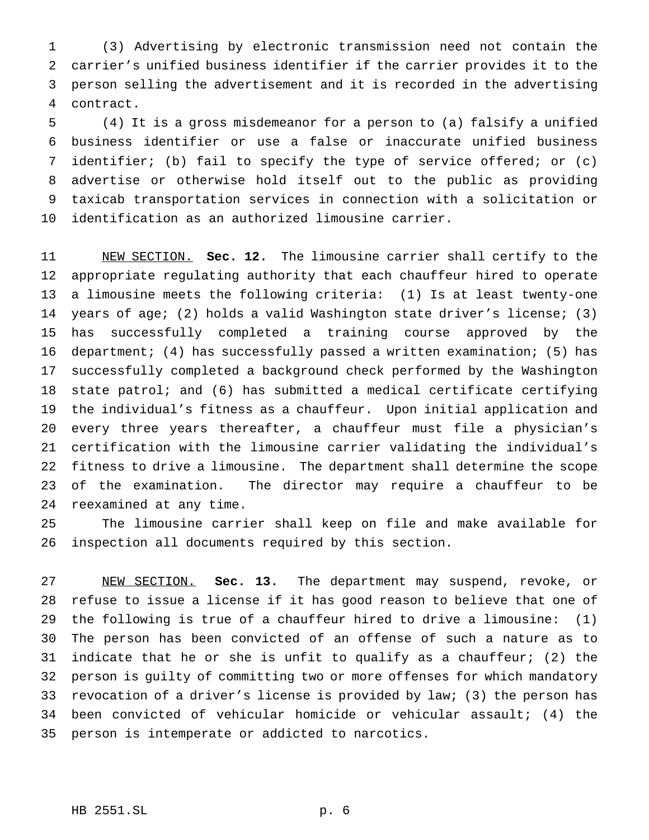(3) Advertising by electronic transmission need not contain the carrier's unified business identifier if the carrier provides it to the person selling the advertisement and it is recorded in the advertising contract.

 (4) It is a gross misdemeanor for a person to (a) falsify a unified business identifier or use a false or inaccurate unified business identifier; (b) fail to specify the type of service offered; or (c) advertise or otherwise hold itself out to the public as providing taxicab transportation services in connection with a solicitation or identification as an authorized limousine carrier.

 NEW SECTION. **Sec. 12.** The limousine carrier shall certify to the appropriate regulating authority that each chauffeur hired to operate a limousine meets the following criteria: (1) Is at least twenty-one years of age; (2) holds a valid Washington state driver's license; (3) has successfully completed a training course approved by the department; (4) has successfully passed a written examination; (5) has successfully completed a background check performed by the Washington state patrol; and (6) has submitted a medical certificate certifying the individual's fitness as a chauffeur. Upon initial application and every three years thereafter, a chauffeur must file a physician's certification with the limousine carrier validating the individual's fitness to drive a limousine. The department shall determine the scope of the examination. The director may require a chauffeur to be reexamined at any time.

 The limousine carrier shall keep on file and make available for inspection all documents required by this section.

 NEW SECTION. **Sec. 13.** The department may suspend, revoke, or refuse to issue a license if it has good reason to believe that one of the following is true of a chauffeur hired to drive a limousine: (1) The person has been convicted of an offense of such a nature as to indicate that he or she is unfit to qualify as a chauffeur; (2) the person is guilty of committing two or more offenses for which mandatory revocation of a driver's license is provided by law; (3) the person has been convicted of vehicular homicide or vehicular assault; (4) the person is intemperate or addicted to narcotics.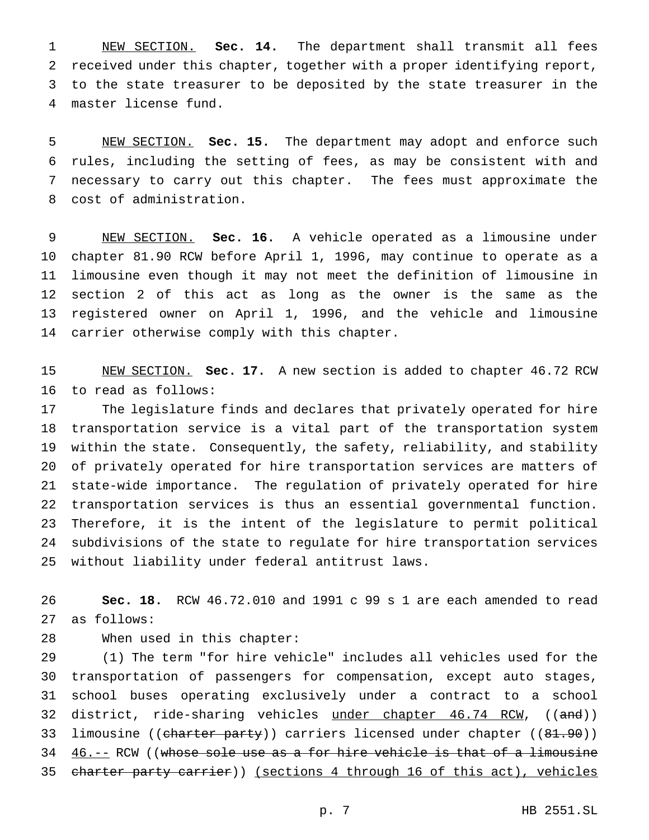NEW SECTION. **Sec. 14.** The department shall transmit all fees received under this chapter, together with a proper identifying report, to the state treasurer to be deposited by the state treasurer in the master license fund.

 NEW SECTION. **Sec. 15.** The department may adopt and enforce such rules, including the setting of fees, as may be consistent with and necessary to carry out this chapter. The fees must approximate the cost of administration.

 NEW SECTION. **Sec. 16.** A vehicle operated as a limousine under chapter 81.90 RCW before April 1, 1996, may continue to operate as a limousine even though it may not meet the definition of limousine in section 2 of this act as long as the owner is the same as the registered owner on April 1, 1996, and the vehicle and limousine carrier otherwise comply with this chapter.

 NEW SECTION. **Sec. 17.** A new section is added to chapter 46.72 RCW to read as follows:

 The legislature finds and declares that privately operated for hire transportation service is a vital part of the transportation system within the state. Consequently, the safety, reliability, and stability of privately operated for hire transportation services are matters of state-wide importance. The regulation of privately operated for hire transportation services is thus an essential governmental function. Therefore, it is the intent of the legislature to permit political subdivisions of the state to regulate for hire transportation services without liability under federal antitrust laws.

 **Sec. 18.** RCW 46.72.010 and 1991 c 99 s 1 are each amended to read as follows:

When used in this chapter:

 (1) The term "for hire vehicle" includes all vehicles used for the transportation of passengers for compensation, except auto stages, school buses operating exclusively under a contract to a school 32 district, ride-sharing vehicles under chapter 46.74 RCW, ((and)) 33 limousine ((charter party)) carriers licensed under chapter ((81.90))  $46. - -$  RCW ((whose sole use as a for hire vehicle is that of a limousine 35 charter party carrier)) (sections 4 through 16 of this act), vehicles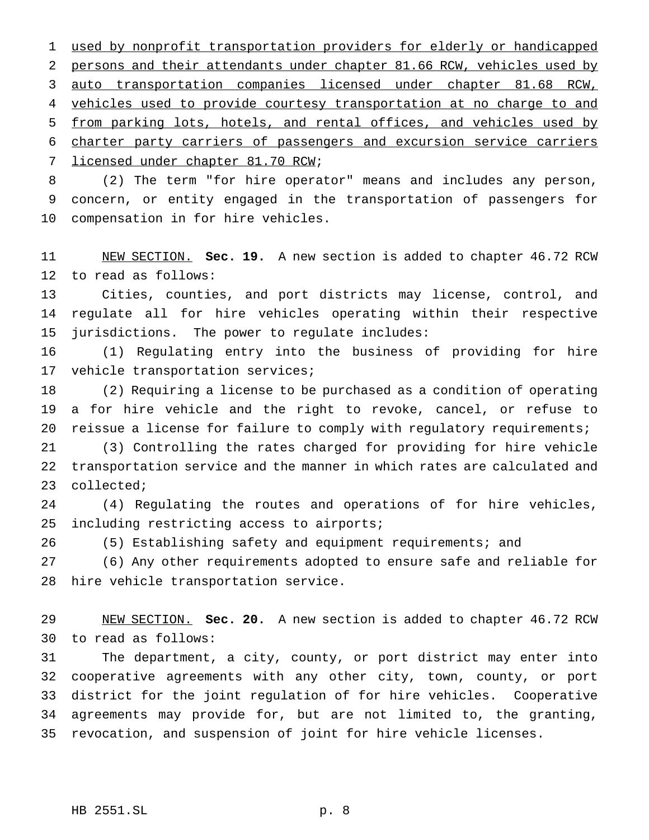used by nonprofit transportation providers for elderly or handicapped 2 persons and their attendants under chapter 81.66 RCW, vehicles used by auto transportation companies licensed under chapter 81.68 RCW, vehicles used to provide courtesy transportation at no charge to and from parking lots, hotels, and rental offices, and vehicles used by charter party carriers of passengers and excursion service carriers licensed under chapter 81.70 RCW;

 (2) The term "for hire operator" means and includes any person, concern, or entity engaged in the transportation of passengers for compensation in for hire vehicles.

 NEW SECTION. **Sec. 19.** A new section is added to chapter 46.72 RCW to read as follows:

 Cities, counties, and port districts may license, control, and regulate all for hire vehicles operating within their respective jurisdictions. The power to regulate includes:

 (1) Regulating entry into the business of providing for hire vehicle transportation services;

 (2) Requiring a license to be purchased as a condition of operating a for hire vehicle and the right to revoke, cancel, or refuse to 20 reissue a license for failure to comply with regulatory requirements;

 (3) Controlling the rates charged for providing for hire vehicle transportation service and the manner in which rates are calculated and collected;

 (4) Regulating the routes and operations of for hire vehicles, including restricting access to airports;

(5) Establishing safety and equipment requirements; and

 (6) Any other requirements adopted to ensure safe and reliable for hire vehicle transportation service.

 NEW SECTION. **Sec. 20.** A new section is added to chapter 46.72 RCW to read as follows:

 The department, a city, county, or port district may enter into cooperative agreements with any other city, town, county, or port district for the joint regulation of for hire vehicles. Cooperative agreements may provide for, but are not limited to, the granting, revocation, and suspension of joint for hire vehicle licenses.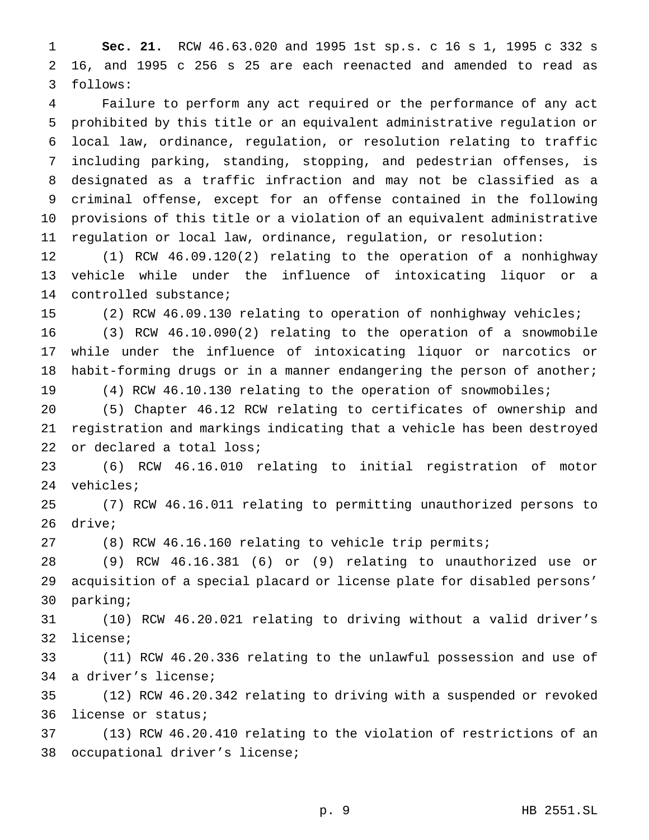**Sec. 21.** RCW 46.63.020 and 1995 1st sp.s. c 16 s 1, 1995 c 332 s 16, and 1995 c 256 s 25 are each reenacted and amended to read as follows:

 Failure to perform any act required or the performance of any act prohibited by this title or an equivalent administrative regulation or local law, ordinance, regulation, or resolution relating to traffic including parking, standing, stopping, and pedestrian offenses, is designated as a traffic infraction and may not be classified as a criminal offense, except for an offense contained in the following provisions of this title or a violation of an equivalent administrative regulation or local law, ordinance, regulation, or resolution:

 (1) RCW 46.09.120(2) relating to the operation of a nonhighway vehicle while under the influence of intoxicating liquor or a controlled substance;

(2) RCW 46.09.130 relating to operation of nonhighway vehicles;

 (3) RCW 46.10.090(2) relating to the operation of a snowmobile while under the influence of intoxicating liquor or narcotics or 18 habit-forming drugs or in a manner endangering the person of another; (4) RCW 46.10.130 relating to the operation of snowmobiles;

 (5) Chapter 46.12 RCW relating to certificates of ownership and registration and markings indicating that a vehicle has been destroyed or declared a total loss;

 (6) RCW 46.16.010 relating to initial registration of motor vehicles;

 (7) RCW 46.16.011 relating to permitting unauthorized persons to drive;

(8) RCW 46.16.160 relating to vehicle trip permits;

 (9) RCW 46.16.381 (6) or (9) relating to unauthorized use or acquisition of a special placard or license plate for disabled persons' parking;

 (10) RCW 46.20.021 relating to driving without a valid driver's license;

 (11) RCW 46.20.336 relating to the unlawful possession and use of a driver's license;

 (12) RCW 46.20.342 relating to driving with a suspended or revoked license or status;

 (13) RCW 46.20.410 relating to the violation of restrictions of an occupational driver's license;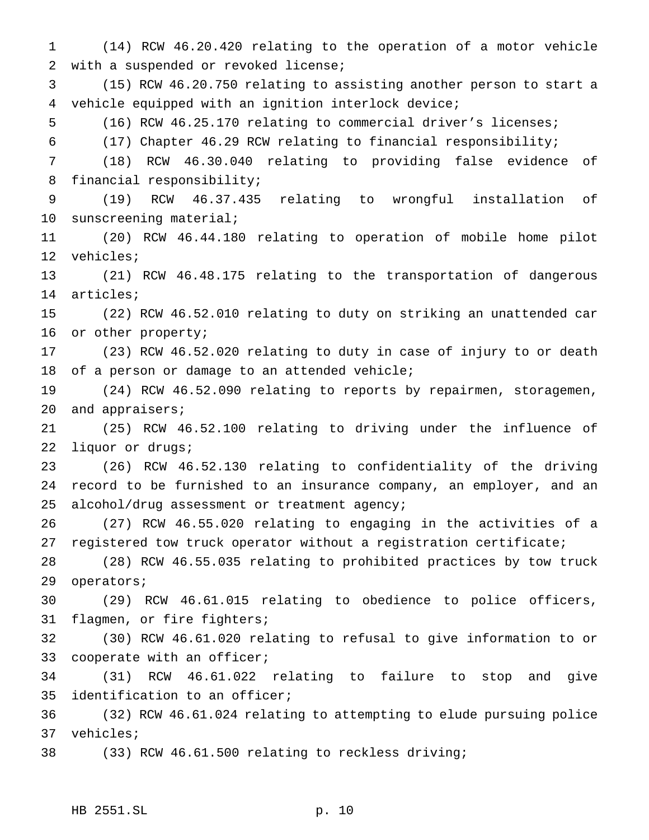(14) RCW 46.20.420 relating to the operation of a motor vehicle with a suspended or revoked license; (15) RCW 46.20.750 relating to assisting another person to start a vehicle equipped with an ignition interlock device; (16) RCW 46.25.170 relating to commercial driver's licenses; (17) Chapter 46.29 RCW relating to financial responsibility; (18) RCW 46.30.040 relating to providing false evidence of financial responsibility; (19) RCW 46.37.435 relating to wrongful installation of sunscreening material; (20) RCW 46.44.180 relating to operation of mobile home pilot vehicles; (21) RCW 46.48.175 relating to the transportation of dangerous articles; (22) RCW 46.52.010 relating to duty on striking an unattended car or other property; (23) RCW 46.52.020 relating to duty in case of injury to or death of a person or damage to an attended vehicle; (24) RCW 46.52.090 relating to reports by repairmen, storagemen, and appraisers; (25) RCW 46.52.100 relating to driving under the influence of liquor or drugs; (26) RCW 46.52.130 relating to confidentiality of the driving record to be furnished to an insurance company, an employer, and an alcohol/drug assessment or treatment agency; (27) RCW 46.55.020 relating to engaging in the activities of a registered tow truck operator without a registration certificate; (28) RCW 46.55.035 relating to prohibited practices by tow truck operators; (29) RCW 46.61.015 relating to obedience to police officers, flagmen, or fire fighters; (30) RCW 46.61.020 relating to refusal to give information to or 33 cooperate with an officer; (31) RCW 46.61.022 relating to failure to stop and give identification to an officer; (32) RCW 46.61.024 relating to attempting to elude pursuing police vehicles; (33) RCW 46.61.500 relating to reckless driving;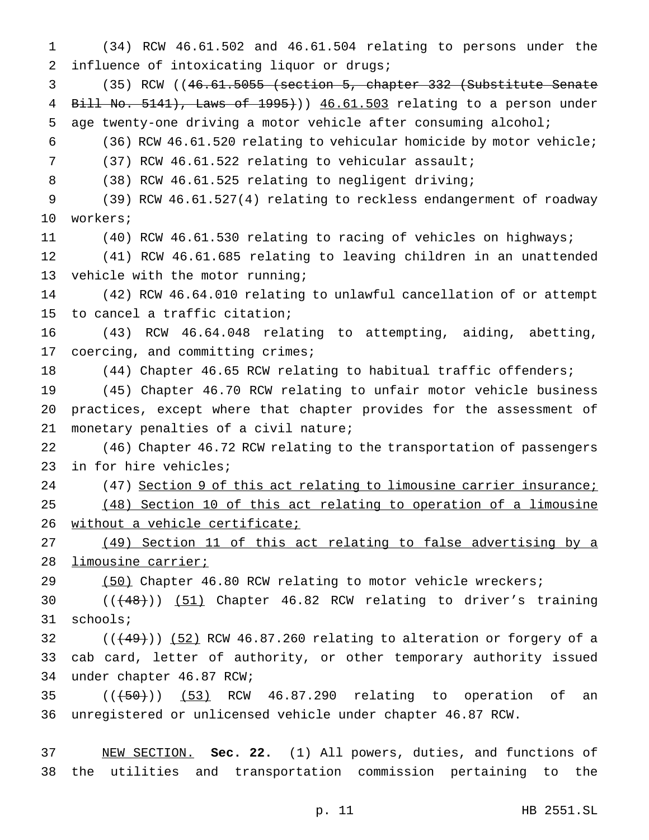(34) RCW 46.61.502 and 46.61.504 relating to persons under the 2 influence of intoxicating liquor or drugs;

 (35) RCW ((46.61.5055 (section 5, chapter 332 (Substitute Senate Bill No. 5141), Laws of 1995))) 46.61.503 relating to a person under age twenty-one driving a motor vehicle after consuming alcohol;

(36) RCW 46.61.520 relating to vehicular homicide by motor vehicle;

(37) RCW 46.61.522 relating to vehicular assault;

(38) RCW 46.61.525 relating to negligent driving;

 (39) RCW 46.61.527(4) relating to reckless endangerment of roadway workers;

(40) RCW 46.61.530 relating to racing of vehicles on highways;

 (41) RCW 46.61.685 relating to leaving children in an unattended vehicle with the motor running;

 (42) RCW 46.64.010 relating to unlawful cancellation of or attempt to cancel a traffic citation;

 (43) RCW 46.64.048 relating to attempting, aiding, abetting, coercing, and committing crimes;

(44) Chapter 46.65 RCW relating to habitual traffic offenders;

 (45) Chapter 46.70 RCW relating to unfair motor vehicle business practices, except where that chapter provides for the assessment of monetary penalties of a civil nature;

 (46) Chapter 46.72 RCW relating to the transportation of passengers in for hire vehicles;

24 (47) Section 9 of this act relating to limousine carrier insurance;

 (48) Section 10 of this act relating to operation of a limousine without a vehicle certificate;

 (49) Section 11 of this act relating to false advertising by a limousine carrier;

29 (50) Chapter 46.80 RCW relating to motor vehicle wreckers;

30 (( $(48)$ )) (51) Chapter 46.82 RCW relating to driver's training schools;

32  $((+49))$  (52) RCW 46.87.260 relating to alteration or forgery of a cab card, letter of authority, or other temporary authority issued under chapter 46.87 RCW;

  $((+50))$   $(53)$  RCW 46.87.290 relating to operation of an unregistered or unlicensed vehicle under chapter 46.87 RCW.

 NEW SECTION. **Sec. 22.** (1) All powers, duties, and functions of the utilities and transportation commission pertaining to the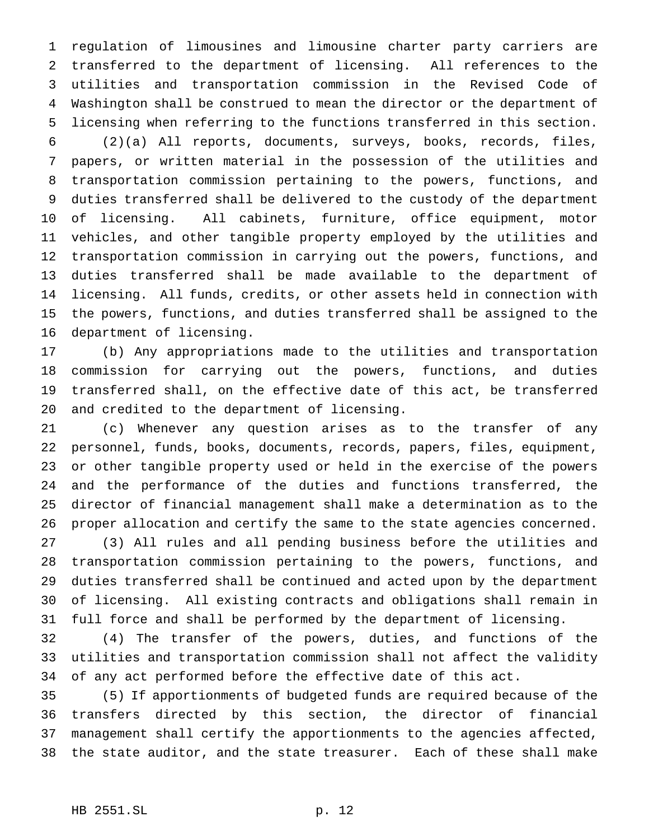regulation of limousines and limousine charter party carriers are transferred to the department of licensing. All references to the utilities and transportation commission in the Revised Code of Washington shall be construed to mean the director or the department of licensing when referring to the functions transferred in this section.

 (2)(a) All reports, documents, surveys, books, records, files, papers, or written material in the possession of the utilities and transportation commission pertaining to the powers, functions, and duties transferred shall be delivered to the custody of the department of licensing. All cabinets, furniture, office equipment, motor vehicles, and other tangible property employed by the utilities and transportation commission in carrying out the powers, functions, and duties transferred shall be made available to the department of licensing. All funds, credits, or other assets held in connection with the powers, functions, and duties transferred shall be assigned to the department of licensing.

 (b) Any appropriations made to the utilities and transportation commission for carrying out the powers, functions, and duties transferred shall, on the effective date of this act, be transferred and credited to the department of licensing.

 (c) Whenever any question arises as to the transfer of any personnel, funds, books, documents, records, papers, files, equipment, or other tangible property used or held in the exercise of the powers and the performance of the duties and functions transferred, the director of financial management shall make a determination as to the proper allocation and certify the same to the state agencies concerned.

 (3) All rules and all pending business before the utilities and transportation commission pertaining to the powers, functions, and duties transferred shall be continued and acted upon by the department of licensing. All existing contracts and obligations shall remain in full force and shall be performed by the department of licensing.

 (4) The transfer of the powers, duties, and functions of the utilities and transportation commission shall not affect the validity of any act performed before the effective date of this act.

 (5) If apportionments of budgeted funds are required because of the transfers directed by this section, the director of financial management shall certify the apportionments to the agencies affected, the state auditor, and the state treasurer. Each of these shall make